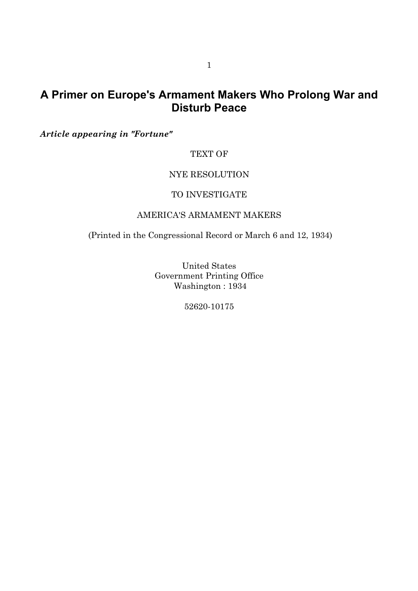## **A Primer on Europe's Armament Makers Who Prolong War and Disturb Peace**

*Article appearing in "Fortune"*

#### TEXT OF

#### NYE RESOLUTION

#### TO INVESTIGATE

### AMERICA'S ARMAMENT MAKERS

(Printed in the Congressional Record or March 6 and 12, 1934)

United States Government Printing Office Washington : 1934

52620-10175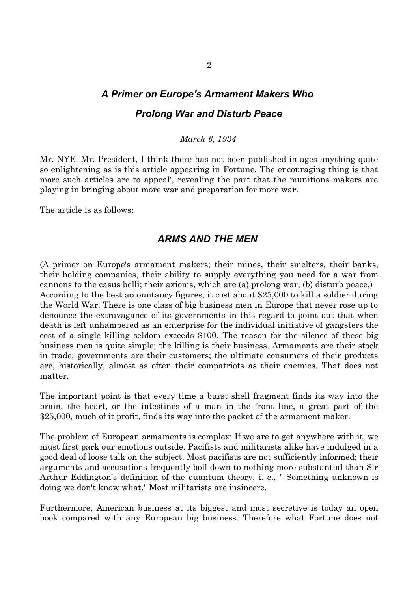# *A Primer on Europe's Armament Makers Who*

#### *Prolong War and Disturb Peace*

#### *March 6, 1934*

Mr. NYE. Mr. President, I think there has not been published in ages anything quite so enlightening as is this article appearing in Fortune. The encouraging thing is that more such articles are to appeal', revealing the part that the munitions makers are playing in bringing about more war and preparation for more war.

The article is as follows:

#### *ARMS AND THE MEN*

(A primer on Europe's armament makers; their mines, their smelters, their banks, their holding companies, their ability to supply everything you need for a war from cannons to the casus belli; their axioms, which are (a) prolong war, (b) disturb peace,) According to the best accountancy figures, it cost about \$25,000 to kill a soldier during the World War. There is one class of big business men in Europe that never rose up to denounce the extravagance of its governments in this regard-to point out that when death is left unhampered as an enterprise for the individual initiative of gangsters the cost of a single killing seldom exceeds \$100. The reason for the silence of these big business men is quite simple; the killing is their business. Armaments are their stock in trade; governments are their customers; the ultimate consumers of their products are, historically, almost as often their compatriots as their enemies. That does not matter.

The important point is that every time a burst shell fragment finds its way into the brain, the heart, or the intestines of a man in the front line, a great part of the \$25,000, much of it profit, finds its way into the packet of the armament maker.

The problem of European armaments is complex: If we are to get anywhere with it, we must first park our emotions outside. Pacifists and militarists alike have indulged in a good deal of loose talk on the subject. Most pacifists are not sufficiently informed; their arguments and accusations frequently boil down to nothing more substantial than Sir Arthur Eddington's definition of the quantum theory, i. e., " Something unknown is doing we don't know what." Most militarists are insincere.

Furthermore, American business at its biggest and most secretive is today an open book compared with any European big business. Therefore what Fortune does not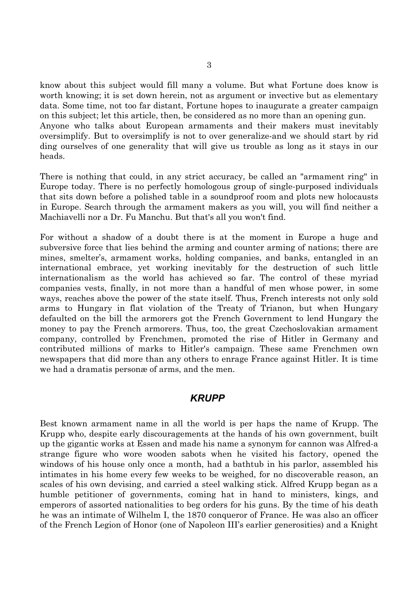know about this subject would fill many a volume. But what Fortune does know is worth knowing; it is set down herein, not as argument or invective but as elementary data. Some time, not too far distant, Fortune hopes to inaugurate a greater campaign on this subject; let this article, then, be considered as no more than an opening gun. Anyone who talks about European armaments and their makers must inevitably oversimplify. But to oversimplify is not to over generalize-and we should start by rid ding ourselves of one generality that will give us trouble as long as it stays in our heads.

There is nothing that could, in any strict accuracy, be called an "armament ring" in Europe today. There is no perfectly homologous group of single-purposed individuals that sits down before a polished table in a soundproof room and plots new holocausts in Europe. Search through the armament makers as you will, you will find neither a Machiavelli nor a Dr. Fu Manchu. But that's all you won't find.

For without a shadow of a doubt there is at the moment in Europe a huge and subversive force that lies behind the arming and counter arming of nations; there are mines, smelter's, armament works, holding companies, and banks, entangled in an international embrace, yet working inevitably for the destruction of such little internationalism as the world has achieved so far. The control of these myriad companies vests, finally, in not more than a handful of men whose power, in some ways, reaches above the power of the state itself. Thus, French interests not only sold arms to Hungary in flat violation of the Treaty of Trianon, but when Hungary defaulted on the bill the armorers got the French Government to lend Hungary the money to pay the French armorers. Thus, too, the great Czechoslovakian armament company, controlled by Frenchmen, promoted the rise of Hitler in Germany and contributed millions of marks to Hitler's campaign. These same Frenchmen own newspapers that did more than any others to enrage France against Hitler. It is time we had a dramatis personæ of arms, and the men.

#### *KRUPP*

Best known armament name in all the world is per haps the name of Krupp. The Krupp who, despite early discouragements at the hands of his own government, built up the gigantic works at Essen and made his name a synonym for cannon was Alfred-a strange figure who wore wooden sabots when he visited his factory, opened the windows of his house only once a month, had a bathtub in his parlor, assembled his intimates in his home every few weeks to be weighed, for no discoverable reason, an scales of his own devising, and carried a steel walking stick. Alfred Krupp began as a humble petitioner of governments, coming hat in hand to ministers, kings, and emperors of assorted nationalities to beg orders for his guns. By the time of his death he was an intimate of Wilhelm I, the 1870 conqueror of France. He was also an officer of the French Legion of Honor (one of Napoleon III's earlier generosities) and a Knight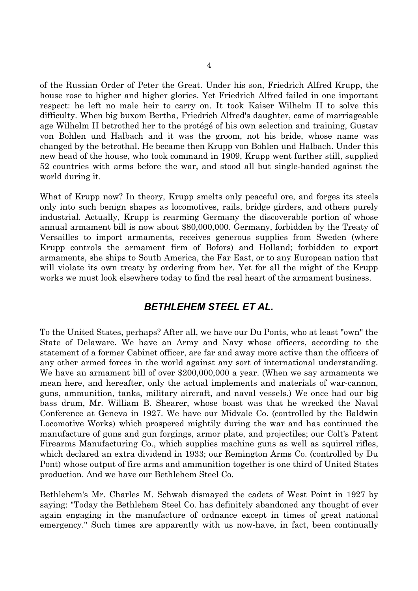of the Russian Order of Peter the Great. Under his son, Friedrich Alfred Krupp, the house rose to higher and higher glories. Yet Friedrich Alfred failed in one important respect: he left no male heir to carry on. It took Kaiser Wilhelm II to solve this difficulty. When big buxom Bertha, Friedrich Alfred's daughter, came of marriageable age Wilhelm II betrothed her to the protégé of his own selection and training, Gustav von Bohlen und Halbach and it was the groom, not his bride, whose name was changed by the betrothal. He became then Krupp von Bohlen und Halbach. Under this new head of the house, who took command in 1909, Krupp went further still, supplied 52 countries with arms before the war, and stood all but single-handed against the world during it.

What of Krupp now? In theory, Krupp smelts only peaceful ore, and forges its steels only into such benign shapes as locomotives, rails, bridge girders, and others purely industrial. Actually, Krupp is rearming Germany the discoverable portion of whose annual armament bill is now about \$80,000,000. Germany, forbidden by the Treaty of Versailles to import armaments, receives generous supplies from Sweden (where Krupp controls the armament firm of Bofors) and Holland; forbidden to export armaments, she ships to South America, the Far East, or to any European nation that will violate its own treaty by ordering from her. Yet for all the might of the Krupp works we must look elsewhere today to find the real heart of the armament business.

#### *BETHLEHEM STEEL ET AL.*

To the United States, perhaps? After all, we have our Du Ponts, who at least "own" the State of Delaware. We have an Army and Navy whose officers, according to the statement of a former Cabinet officer, are far and away more active than the officers of any other armed forces in the world against any sort of international understanding. We have an armament bill of over \$200,000,000 a year. (When we say armaments we mean here, and hereafter, only the actual implements and materials of war-cannon, guns, ammunition, tanks, military aircraft, and naval vessels.) We once had our big bass drum, Mr. William B. Shearer, whose boast was that he wrecked the Naval Conference at Geneva in 1927. We have our Midvale Co. (controlled by the Baldwin Locomotive Works) which prospered mightily during the war and has continued the manufacture of guns and gun forgings, armor plate, and projectiles; our Colt's Patent Firearms Manufacturing Co., which supplies machine guns as well as squirrel rifles, which declared an extra dividend in 1933; our Remington Arms Co. (controlled by Du Pont) whose output of fire arms and ammunition together is one third of United States production. And we have our Bethlehem Steel Co.

Bethlehem's Mr. Charles M. Schwab dismayed the cadets of West Point in 1927 by saying: "Today the Bethlehem Steel Co. has definitely abandoned any thought of ever again engaging in the manufacture of ordnance except in times of great national emergency." Such times are apparently with us now-have, in fact, been continually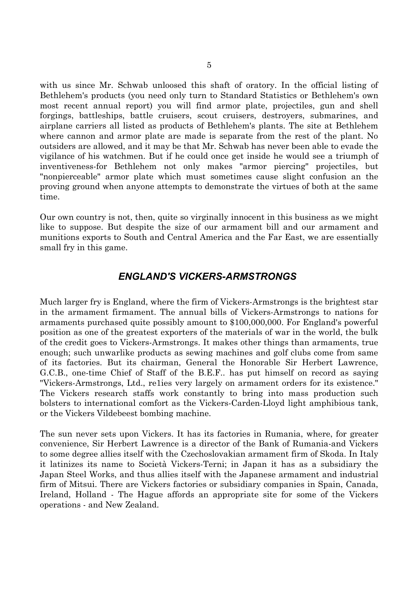with us since Mr. Schwab unloosed this shaft of oratory. In the official listing of Bethlehem's products (you need only turn to Standard Statistics or Bethlehem's own most recent annual report) you will find armor plate, projectiles, gun and shell forgings, battleships, battle cruisers, scout cruisers, destroyers, submarines, and airplane carriers all listed as products of Bethlehem's plants. The site at Bethlehem where cannon and armor plate are made is separate from the rest of the plant. No outsiders are allowed, and it may be that Mr. Schwab has never been able to evade the vigilance of his watchmen. But if he could once get inside he would see a triumph of inventiveness-for Bethlehem not only makes "armor piercing" projectiles, but "nonpierceable" armor plate which must sometimes cause slight confusion an the proving ground when anyone attempts to demonstrate the virtues of both at the same time.

Our own country is not, then, quite so virginally innocent in this business as we might like to suppose. But despite the size of our armament bill and our armament and munitions exports to South and Central America and the Far East, we are essentially small fry in this game.

### *ENGLAND'S VICKERS-ARMSTRONGS*

Much larger fry is England, where the firm of Vickers-Armstrongs is the brightest star in the armament firmament. The annual bills of Vickers-Armstrongs to nations for armaments purchased quite possibly amount to \$100,000,000. For England's powerful position as one of the greatest exporters of the materials of war in the world, the bulk of the credit goes to Vickers-Armstrongs. It makes other things than armaments, true enough; such unwarlike products as sewing machines and golf clubs come from same of its factories. But its chairman, General the Honorable Sir Herbert Lawrence, G.C.B., one-time Chief of Staff of the B.E.F.. has put himself on record as saying "Vickers-Armstrongs, Ltd., re1ies very largely on armament orders for its existence." The Vickers research staffs work constantly to bring into mass production such bolsters to international comfort as the Vickers-Carden-Lloyd light amphibious tank, or the Vickers Vildebeest bombing machine.

The sun never sets upon Vickers. It has its factories in Rumania, where, for greater convenience, Sir Herbert Lawrence is a director of the Bank of Rumania-and Vickers to some degree allies itself with the Czechoslovakian armament firm of Skoda. In Italy it latinizes its name to Società Vickers-Terni; in Japan it has as a subsidiary the Japan Steel Works, and thus allies itself with the Japanese armament and industrial firm of Mitsui. There are Vickers factories or subsidiary companies in Spain, Canada, Ireland, Holland - The Hague affords an appropriate site for some of the Vickers operations - and New Zealand.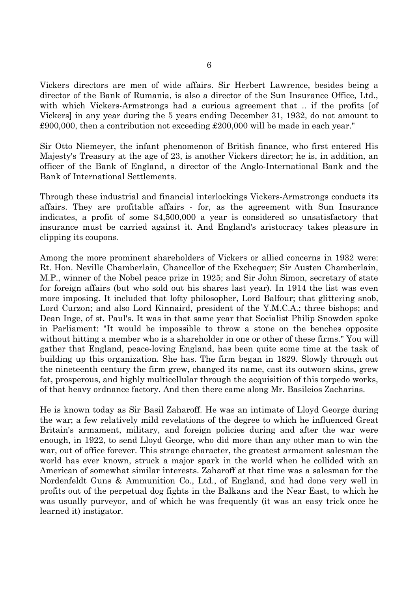Vickers directors are men of wide affairs. Sir Herbert Lawrence, besides being a director of the Bank of Rumania, is also a director of the Sun Insurance Office, Ltd., with which Vickers-Armstrongs had a curious agreement that ... if the profits [of Vickers] in any year during the 5 years ending December 31, 1932, do not amount to £900,000, then a contribution not exceeding £200,000 will be made in each year."

Sir Otto Niemeyer, the infant phenomenon of British finance, who first entered His Majesty's Treasury at the age of 23, is another Vickers director; he is, in addition, an officer of the Bank of England, a director of the Anglo-International Bank and the Bank of International Settlements.

Through these industrial and financial interlockings Vickers-Armstrongs conducts its affairs. They are profitable affairs - for, as the agreement with Sun Insurance indicates, a profit of some \$4,500,000 a year is considered so unsatisfactory that insurance must be carried against it. And England's aristocracy takes pleasure in clipping its coupons.

Among the more prominent shareholders of Vickers or allied concerns in 1932 were: Rt. Hon. Neville Chamberlain, Chancellor of the Exchequer; Sir Austen Chamberlain, M.P., winner of the Nobel peace prize in 1925; and Sir John Simon, secretary of state for foreign affairs (but who sold out his shares last year). In 1914 the list was even more imposing. It included that lofty philosopher, Lord Balfour; that glittering snob, Lord Curzon; and also Lord Kinnaird, president of the Y.M.C.A.; three bishops; and Dean Inge, of st. Paul's. It was in that same year that Socialist Philip Snowden spoke in Parliament: "It would be impossible to throw a stone on the benches opposite without hitting a member who is a shareholder in one or other of these firms." You will gather that England, peace-loving England, has been quite some time at the task of building up this organization. She has. The firm began in 1829. Slowly through out the nineteenth century the firm grew, changed its name, cast its outworn skins, grew fat, prosperous, and highly multicellular through the acquisition of this torpedo works, of that heavy ordnance factory. And then there came along Mr. Basileios Zacharias.

He is known today as Sir Basil Zaharoff. He was an intimate of Lloyd George during the war; a few relatively mild revelations of the degree to which he influenced Great Britain's armament, military, and foreign policies during and after the war were enough, in 1922, to send Lloyd George, who did more than any other man to win the war, out of office forever. This strange character, the greatest armament salesman the world has ever known, struck a major spark in the world when he collided with an American of somewhat similar interests. Zaharoff at that time was a salesman for the Nordenfeldt Guns & Ammunition Co., Ltd., of England, and had done very well in profits out of the perpetual dog fights in the Balkans and the Near East, to which he was usually purveyor, and of which he was frequently (it was an easy trick once he learned it) instigator.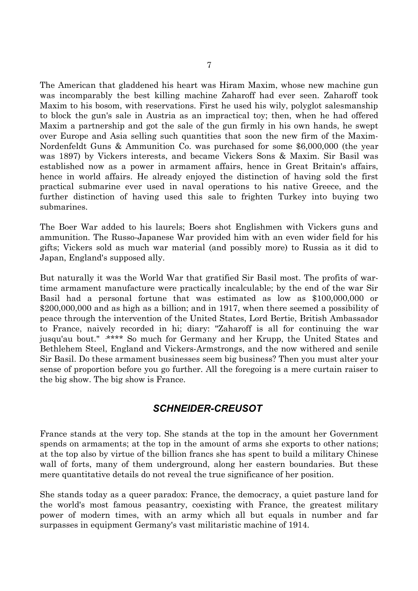The American that gladdened his heart was Hiram Maxim, whose new machine gun was incomparably the best killing machine Zaharoff had ever seen. Zaharoff took Maxim to his bosom, with reservations. First he used his wily, polyglot salesmanship to block the gun's sale in Austria as an impractical toy; then, when he had offered Maxim a partnership and got the sale of the gun firmly in his own hands, he swept over Europe and Asia selling such quantities that soon the new firm of the Maxim-Nordenfeldt Guns & Ammunition Co. was purchased for some \$6,000,000 (the year was 1897) by Vickers interests, and became Vickers Sons & Maxim. Sir Basil was established now as a power in armament affairs, hence in Great Britain's affairs, hence in world affairs. He already enjoyed the distinction of having sold the first practical submarine ever used in naval operations to his native Greece, and the further distinction of having used this sale to frighten Turkey into buying two submarines.

The Boer War added to his laurels; Boers shot Englishmen with Vickers guns and ammunition. The Russo-Japanese War provided him with an even wider field for his gifts; Vickers sold as much war material (and possibly more) to Russia as it did to Japan, England's supposed ally.

But naturally it was the World War that gratified Sir Basil most. The profits of wartime armament manufacture were practically incalculable; by the end of the war Sir Basil had a personal fortune that was estimated as low as \$100,000,000 or \$200,000,000 and as high as a billion; and in 1917, when there seemed a possibility of peace through the intervention of the United States, Lord Bertie, British Ambassador to France, naively recorded in hi; diary: "Zaharoff is all for continuing the war jusqu'au bout." ·\*\*\*\* So much for Germany and her Krupp, the United States and Bethlehem Steel, England and Vickers-Armstrongs, and the now withered and senile Sir Basil. Do these armament businesses seem big business? Then you must alter your sense of proportion before you go further. All the foregoing is a mere curtain raiser to the big show. The big show is France.

## *SCHNEIDER-CREUSOT*

France stands at the very top. She stands at the top in the amount her Government spends on armaments; at the top in the amount of arms she exports to other nations; at the top also by virtue of the billion francs she has spent to build a military Chinese wall of forts, many of them underground, along her eastern boundaries. But these mere quantitative details do not reveal the true significance of her position.

She stands today as a queer paradox: France, the democracy, a quiet pasture land for the world's most famous peasantry, coexisting with France, the greatest military power of modern times, with an army which all but equals in number and far surpasses in equipment Germany's vast militaristic machine of 1914.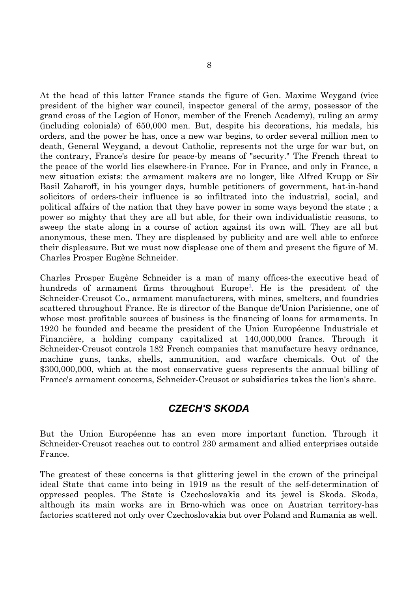At the head of this latter France stands the figure of Gen. Maxime Weygand (vice president of the higher war council, inspector general of the army, possessor of the grand cross of the Legion of Honor, member of the French Academy), ruling an army (including colonials) of 650,000 men. But, despite his decorations, his medals, his orders, and the power he has, once a new war begins, to order several million men to death, General Weygand, a devout Catholic, represents not the urge for war but, on the contrary, France's desire for peace-by means of "security." The French threat to the peace of the world lies elsewhere-in France. For in France, and only in France, a new situation exists: the armament makers are no longer, like Alfred Krupp or Sir Basil Zaharoff, in his younger days, humble petitioners of government, hat-in-hand solicitors of orders-their influence is so infiltrated into the industrial, social, and political affairs of the nation that they have power in some ways beyond the state ; a power so mighty that they are all but able, for their own individualistic reasons, to sweep the state along in a course of action against its own will. They are all but anonymous, these men. They are displeased by publicity and are well able to enforce their displeasure. But we must now displease one of them and present the figure of M. Charles Prosper Eugène Schneider.

Charles Prosper Eugène Schneider is a man of many offices-the executive head of hundreds of armament firms throughout Europe<sup>[1](#page-7-0)</sup>. He is the president of the Schneider-Creusot Co., armament manufacturers, with mines, smelters, and foundries scattered throughout France. Re is director of the Banque de'Union Parisienne, one of whose most profitable sources of business is the financing of loans for armaments. In 1920 he founded and became the president of the Union Européenne Industriale et Financière, a holding company capitalized at 140,000,000 francs. Through it Schneider-Creusot controls 182 French companies that manufacture heavy ordnance, machine guns, tanks, shells, ammunition, and warfare chemicals. Out of the \$300,000,000, which at the most conservative guess represents the annual billing of France's armament concerns, Schneider-Creusot or subsidiaries takes the lion's share.

## <span id="page-7-0"></span>*CZECH'S SKODA*

But the Union Européenne has an even more important function. Through it Schneider-Creusot reaches out to control 230 armament and allied enterprises outside France.

The greatest of these concerns is that glittering jewel in the crown of the principal ideal State that came into being in 1919 as the result of the self-determination of oppressed peoples. The State is Czechoslovakia and its jewel is Skoda. Skoda, although its main works are in Brno-which was once on Austrian territory-has factories scattered not only over Czechoslovakia but over Poland and Rumania as well.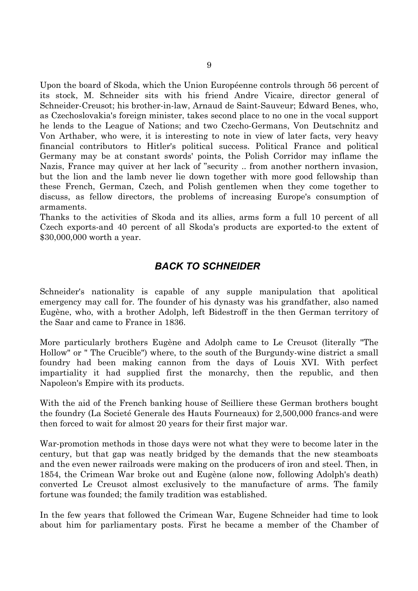Upon the board of Skoda, which the Union Européenne controls through 56 percent of its stock, M. Schneider sits with his friend Andre Vicaire, director general of Schneider-Creusot; his brother-in-law, Arnaud de Saint-Sauveur; Edward Benes, who, as Czechoslovakia's foreign minister, takes second place to no one in the vocal support he lends to the League of Nations; and two Czecho-Germans, Von Deutschnitz and Von Arthaber, who were, it is interesting to note in view of later facts, very heavy financial contributors to Hitler's political success. Political France and political Germany may be at constant swords' points, the Polish Corridor may inflame the Nazis, France may quiver at her lack of "security .. from another northern invasion, but the lion and the lamb never lie down together with more good fellowship than these French, German, Czech, and Polish gentlemen when they come together to discuss, as fellow directors, the problems of increasing Europe's consumption of armaments.

Thanks to the activities of Skoda and its allies, arms form a full 10 percent of all Czech exports-and 40 percent of all Skoda's products are exported-to the extent of \$30,000,000 worth a year.

## *BACK TO SCHNEIDER*

Schneider's nationality is capable of any supple manipulation that apolitical emergency may call for. The founder of his dynasty was his grandfather, also named Eugène, who, with a brother Adolph, left Bidestroff in the then German territory of the Saar and came to France in 1836.

More particularly brothers Eugène and Adolph came to Le Creusot (literally "The Hollow" or " The Crucible") where, to the south of the Burgundy-wine district a small foundry had been making cannon from the days of Louis XVI. With perfect impartiality it had supplied first the monarchy, then the republic, and then Napoleon's Empire with its products.

With the aid of the French banking house of Seilliere these German brothers bought the foundry (La Societé Generale des Hauts Fourneaux) for 2,500,000 francs-and were then forced to wait for almost 20 years for their first major war.

War-promotion methods in those days were not what they were to become later in the century, but that gap was neatly bridged by the demands that the new steamboats and the even newer railroads were making on the producers of iron and steel. Then, in 1854, the Crimean War broke out and Eugène (alone now, following Adolph's death) converted Le Creusot almost exclusively to the manufacture of arms. The family fortune was founded; the family tradition was established.

In the few years that followed the Crimean War, Eugene Schneider had time to look about him for parliamentary posts. First he became a member of the Chamber of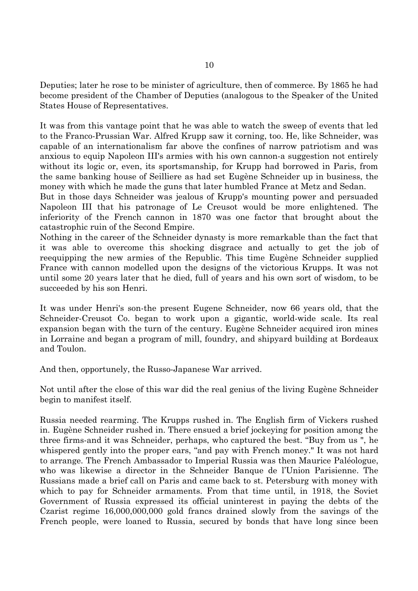Deputies; later he rose to be minister of agriculture, then of commerce. By 1865 he had become president of the Chamber of Deputies (analogous to the Speaker of the United States House of Representatives.

It was from this vantage point that he was able to watch the sweep of events that led to the Franco-Prussian War. Alfred Krupp saw it corning, too. He, like Schneider, was capable of an internationalism far above the confines of narrow patriotism and was anxious to equip Napoleon III's armies with his own cannon-a suggestion not entirely without its logic or, even, its sportsmanship, for Krupp had borrowed in Paris, from the same banking house of Seilliere as had set Eugène Schneider up in business, the money with which he made the guns that later humbled France at Metz and Sedan.

But in those days Schneider was jealous of Krupp's mounting power and persuaded Napoleon III that his patronage of Le Creusot would be more enlightened. The inferiority of the French cannon in 1870 was one factor that brought about the catastrophic ruin of the Second Empire.

Nothing in the career of the Schneider dynasty is more remarkable than the fact that it was able to overcome this shocking disgrace and actually to get the job of reequipping the new armies of the Republic. This time Eugène Schneider supplied France with cannon modelled upon the designs of the victorious Krupps. It was not until some 20 years later that he died, full of years and his own sort of wisdom, to be succeeded by his son Henri.

It was under Henri's son-the present Eugene Schneider, now 66 years old, that the Schneider-Creusot Co. began to work upon a gigantic, world-wide scale. Its real expansion began with the turn of the century. Eugène Schneider acquired iron mines in Lorraine and began a program of mill, foundry, and shipyard building at Bordeaux and Toulon.

And then, opportunely, the Russo-Japanese War arrived.

Not until after the close of this war did the real genius of the living Eugène Schneider begin to manifest itself.

Russia needed rearming. The Krupps rushed in. The English firm of Vickers rushed in. Eugène Schneider rushed in. There ensued a brief jockeying for position among the three firms-and it was Schneider, perhaps, who captured the best. "Buy from us ", he whispered gently into the proper ears, "and pay with French money." It was not hard to arrange. The French Ambassador to Imperial Russia was then Maurice Paléologue, who was likewise a director in the Schneider Banque de l'Union Parisienne. The Russians made a brief call on Paris and came back to st. Petersburg with money with which to pay for Schneider armaments. From that time until, in 1918, the Soviet Government of Russia expressed its official uninterest in paying the debts of the Czarist regime 16,000,000,000 gold francs drained slowly from the savings of the French people, were loaned to Russia, secured by bonds that have long since been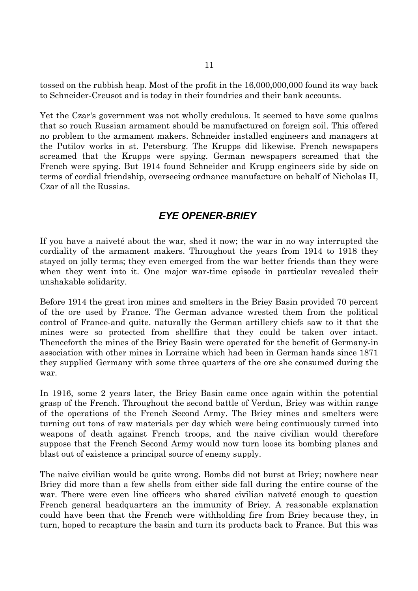tossed on the rubbish heap. Most of the profit in the 16,000,000,000 found its way back to Schneider-Creusot and is today in their foundries and their bank accounts.

Yet the Czar's government was not wholly credulous. It seemed to have some qualms that so rouch Russian armament should be manufactured on foreign soil. This offered no problem to the armament makers. Schneider installed engineers and managers at the Putilov works in st. Petersburg. The Krupps did likewise. French newspapers screamed that the Krupps were spying. German newspapers screamed that the French were spying. But 1914 found Schneider and Krupp engineers side by side on terms of cordial friendship, overseeing ordnance manufacture on behalf of Nicholas II, Czar of all the Russias.

## *EYE OPENER-BRIEY*

If you have a naiveté about the war, shed it now; the war in no way interrupted the cordiality of the armament makers. Throughout the years from 1914 to 1918 they stayed on jolly terms; they even emerged from the war better friends than they were when they went into it. One major war-time episode in particular revealed their unshakable solidarity.

Before 1914 the great iron mines and smelters in the Briey Basin provided 70 percent of the ore used by France. The German advance wrested them from the political control of France-and quite. naturally the German artillery chiefs saw to it that the mines were so protected from shellfire that they could be taken over intact. Thenceforth the mines of the Briey Basin were operated for the benefit of Germany-in association with other mines in Lorraine which had been in German hands since 1871 they supplied Germany with some three quarters of the ore she consumed during the war.

In 1916, some 2 years later, the Briey Basin came once again within the potential grasp of the French. Throughout the second battle of Verdun, Briey was within range of the operations of the French Second Army. The Briey mines and smelters were turning out tons of raw materials per day which were being continuously turned into weapons of death against French troops, and the naive civilian would therefore suppose that the French Second Army would now turn loose its bombing planes and blast out of existence a principal source of enemy supply.

The naive civilian would be quite wrong. Bombs did not burst at Briey; nowhere near Briey did more than a few shells from either side fall during the entire course of the war. There were even line officers who shared civilian naïveté enough to question French general headquarters an the immunity of Briey. A reasonable explanation could have been that the French were withholding fire from Briey because they, in turn, hoped to recapture the basin and turn its products back to France. But this was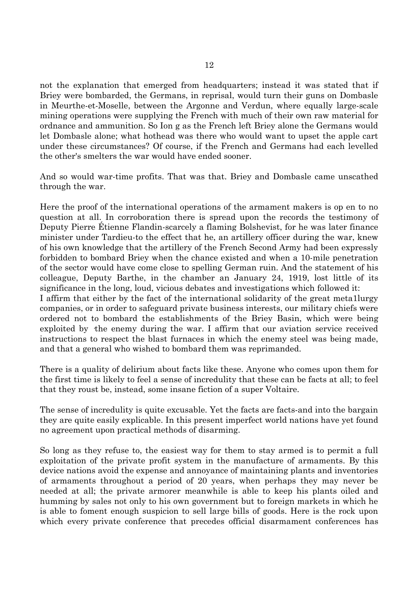not the explanation that emerged from headquarters; instead it was stated that if Briey were bombarded, the Germans, in reprisal, would turn their guns on Dombasle in Meurthe-et-Moselle, between the Argonne and Verdun, where equally large-scale mining operations were supplying the French with much of their own raw material for ordnance and ammunition. So Ion g as the French left Briey alone the Germans would let Dombasle alone; what hothead was there who would want to upset the apple cart under these circumstances? Of course, if the French and Germans had each levelled the other's smelters the war would have ended sooner.

And so would war-time profits. That was that. Briey and Dombasle came unscathed through the war.

Here the proof of the international operations of the armament makers is op en to no question at all. In corroboration there is spread upon the records the testimony of Deputy Pierre Étienne Flandin-scarcely a flaming Bolshevist, for he was later finance minister under Tardieu-to the effect that he, an artillery officer during the war, knew of his own knowledge that the artillery of the French Second Army had been expressly forbidden to bombard Briey when the chance existed and when a 10-mile penetration of the sector would have come close to spelling German ruin. And the statement of his colleague, Deputy Barthe, in the chamber an January 24, 1919, lost little of its significance in the long, loud, vicious debates and investigations which followed it: I affirm that either by the fact of the international solidarity of the great meta1lurgy companies, or in order to safeguard private business interests, our military chiefs were ordered not to bombard the establishments of the Briey Basin, which were being exploited by the enemy during the war. I affirm that our aviation service received instructions to respect the blast furnaces in which the enemy steel was being made, and that a general who wished to bombard them was reprimanded.

There is a quality of delirium about facts like these. Anyone who comes upon them for the first time is likely to feel a sense of incredulity that these can be facts at all; to feel that they roust be, instead, some insane fiction of a super Voltaire.

The sense of incredulity is quite excusable. Yet the facts are facts-and into the bargain they are quite easily explicable. In this present imperfect world nations have yet found no agreement upon practical methods of disarming.

So long as they refuse to, the easiest way for them to stay armed is to permit a full exploitation of the private profit system in the manufacture of armaments. By this device nations avoid the expense and annoyance of maintaining plants and inventories of armaments throughout a period of 20 years, when perhaps they may never be needed at all; the private armorer meanwhile is able to keep his plants oiled and humming by sales not only to his own government but to foreign markets in which he is able to foment enough suspicion to sell large bills of goods. Here is the rock upon which every private conference that precedes official disarmament conferences has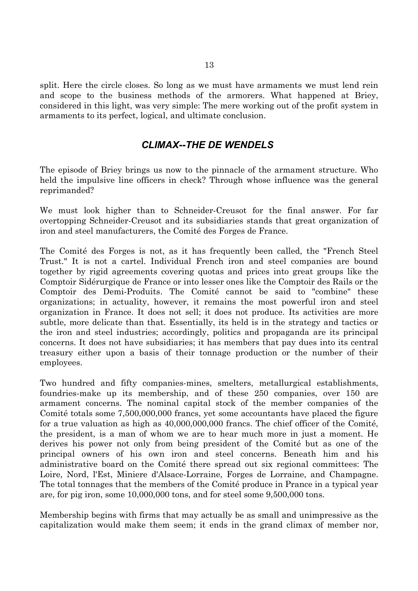split. Here the circle closes. So long as we must have armaments we must lend rein and scope to the business methods of the armorers. What happened at Briey, considered in this light, was very simple: The mere working out of the profit system in armaments to its perfect, logical, and ultimate conclusion.

## *CLIMAX--THE DE WENDELS*

The episode of Briey brings us now to the pinnacle of the armament structure. Who held the impulsive line officers in check? Through whose influence was the general reprimanded?

We must look higher than to Schneider-Creusot for the final answer. For far overtopping Schneider-Creusot and its subsidiaries stands that great organization of iron and steel manufacturers, the Comité des Forges de France.

The Comité des Forges is not, as it has frequently been called, the "French Steel Trust." It is not a cartel. Individual French iron and steel companies are bound together by rigid agreements covering quotas and prices into great groups like the Comptoir Sidérurgique de France or into lesser ones like the Comptoir des Rails or the Comptoir des Demi-Produits. The Comité cannot be said to "combine" these organizations; in actuality, however, it remains the most powerful iron and steel organization in France. It does not sell; it does not produce. Its activities are more subtle, more delicate than that. Essentially, its held is in the strategy and tactics or the iron and steel industries; accordingly, politics and propaganda are its principal concerns. It does not have subsidiaries; it has members that pay dues into its central treasury either upon a basis of their tonnage production or the number of their employees.

Two hundred and fifty companies-mines, smelters, metallurgical establishments, foundries-make up its membership, and of these 250 companies, over 150 are armament concerns. The nominal capital stock of the member companies of the Comité totals some 7,500,000,000 francs, yet some accountants have placed the figure for a true valuation as high as 40,000,000,000 francs. The chief officer of the Comité, the president, is a man of whom we are to hear much more in just a moment. He derives his power not only from being president of the Comité but as one of the principal owners of his own iron and steel concerns. Beneath him and his administrative board on the Comité there spread out six regional committees: The Loire, Nord, l'Est, Miniere d'Alsace-Lorraine, Forges de Lorraine, and Champagne. The total tonnages that the members of the Comité produce in Prance in a typical year are, for pig iron, some 10,000,000 tons, and for steel some 9,500,000 tons.

Membership begins with firms that may actually be as small and unimpressive as the capitalization would make them seem; it ends in the grand climax of member nor,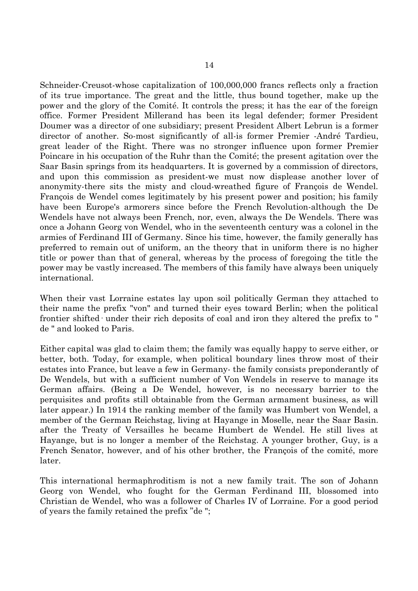Schneider-Creusot-whose capitalization of 100,000,000 francs reflects only a fraction of its true importance. The great and the little, thus bound together, make up the power and the glory of the Comité. It controls the press; it has the ear of the foreign office. Former President Millerand has been its legal defender; former President Doumer was a director of one subsidiary; present President Albert Lebrun is a former director of another. So-most significantly of all-is former Premier -André Tardieu, great leader of the Right. There was no stronger influence upon former Premier Poincare in his occupation of the Ruhr than the Comité; the present agitation over the Saar Basin springs from its headquarters. It is governed by a commission of directors, and upon this commission as president-we must now displease another lover of anonymity-there sits the misty and cloud-wreathed figure of François de Wendel. François de Wendel comes legitimately by his present power and position; his family have been Europe's armorers since before the French Revolution-although the De Wendels have not always been French, nor, even, always the De Wendels. There was once a Johann Georg von Wendel, who in the seventeenth century was a colonel in the armies of Ferdinand III of Germany. Since his time, however, the family generally has preferred to remain out of uniform, an the theory that in uniform there is no higher title or power than that of general, whereas by the process of foregoing the title the power may be vastly increased. The members of this family have always been uniquely international.

When their vast Lorraine estates lay upon soil politically German they attached to their name the prefix "von" and turned their eyes toward Berlin; when the political frontier shifted· under their rich deposits of coal and iron they altered the prefix to " de " and looked to Paris.

Either capital was glad to claim them; the family was equally happy to serve either, or better, both. Today, for example, when political boundary lines throw most of their estates into France, but leave a few in Germany- the family consists preponderantly of De Wendels, but with a sufficient number of Von Wendels in reserve to manage its German affairs. (Being a De Wendel, however, is no necessary barrier to the perquisites and profits still obtainable from the German armament business, as will later appear.) In 1914 the ranking member of the family was Humbert von Wendel, a member of the German Reichstag, living at Hayange in Moselle, near the Saar Basin. after the Treaty of Versailles he became Humbert de Wendel. He still lives at Hayange, but is no longer a member of the Reichstag. A younger brother, Guy, is a French Senator, however, and of his other brother, the François of the comité, more later.

This international hermaphroditism is not a new family trait. The son of Johann Georg von Wendel, who fought for the German Ferdinand III, blossomed into Christian de Wendel, who was a follower of Charles IV of Lorraine. For a good period of years the family retained the prefix "de ";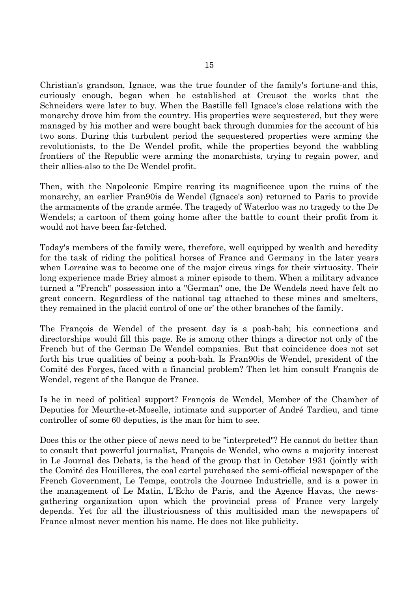Christian's grandson, Ignace, was the true founder of the family's fortune-and this, curiously enough, began when he established at Creusot the works that the Schneiders were later to buy. When the Bastille fell Ignace's close relations with the monarchy drove him from the country. His properties were sequestered, but they were managed by his mother and were bought back through dummies for the account of his two sons. During this turbulent period the sequestered properties were arming the revolutionists, to the De Wendel profit, while the properties beyond the wabbling frontiers of the Republic were arming the monarchists, trying to regain power, and their allies-also to the De Wendel profit.

Then, with the Napoleonic Empire rearing its magnificence upon the ruins of the monarchy, an earlier Fran90is de Wendel (Ignace's son) returned to Paris to provide the armaments of the grande armée. The tragedy of Waterloo was no tragedy to the De Wendels; a cartoon of them going home after the battle to count their profit from it would not have been far-fetched.

Today's members of the family were, therefore, well equipped by wealth and heredity for the task of riding the political horses of France and Germany in the later years when Lorraine was to become one of the major circus rings for their virtuosity. Their long experience made Briey almost a miner episode to them. When a military advance turned a "French" possession into a "German" one, the De Wendels need have felt no great concern. Regardless of the national tag attached to these mines and smelters, they remained in the placid control of one or' the other branches of the family.

The François de Wendel of the present day is a poah-bah; his connections and directorships would fill this page. Re is among other things a director not only of the French but of the German De Wendel companies. But that coincidence does not set forth his true qualities of being a pooh-bah. Is Fran90is de Wendel, president of the Comité des Forges, faced with a financial problem? Then let him consult François de Wendel, regent of the Banque de France.

Is he in need of political support? François de Wendel, Member of the Chamber of Deputies for Meurthe-et-Moselle, intimate and supporter of André Tardieu, and time controller of some 60 deputies, is the man for him to see.

Does this or the other piece of news need to be "interpreted"? He cannot do better than to consult that powerful journalist, François de Wendel, who owns a majority interest in Le Journal des Debats, is the head of the group that in October 1931 (jointly with the Comité des Houilleres, the coal cartel purchased the semi-official newspaper of the French Government, Le Temps, controls the Journee Industrielle, and is a power in the management of Le Matin, L'Echo de Paris, and the Agence Havas, the newsgathering organization upon which the provincial press of France very largely depends. Yet for all the illustriousness of this multisided man the newspapers of France almost never mention his name. He does not like publicity.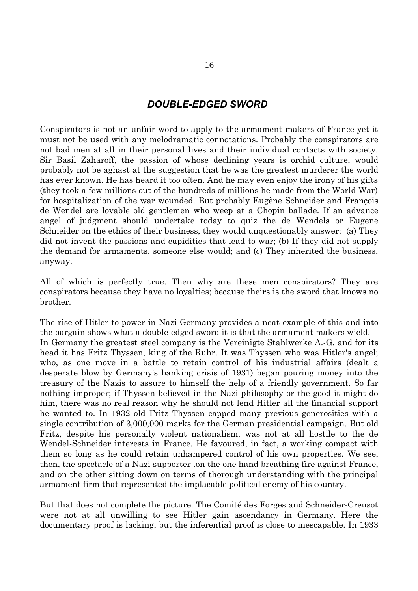#### *DOUBLE-EDGED SWORD*

Conspirators is not an unfair word to apply to the armament makers of France-yet it must not be used with any melodramatic connotations. Probably the conspirators are not bad men at all in their personal lives and their individual contacts with society. Sir Basil Zaharoff, the passion of whose declining years is orchid culture, would probably not be aghast at the suggestion that he was the greatest murderer the world has ever known. He has heard it too often. And he may even enjoy the irony of his gifts (they took a few millions out of the hundreds of millions he made from the World War) for hospitalization of the war wounded. But probably Eugène Schneider and François de Wendel are lovable old gentlemen who weep at a Chopin ballade. If an advance angel of judgment should undertake today to quiz the de Wendels or Eugene Schneider on the ethics of their business, they would unquestionably answer: (a) They did not invent the passions and cupidities that lead to war; (b) If they did not supply the demand for armaments, someone else would; and (c) They inherited the business, anyway.

All of which is perfectly true. Then why are these men conspirators? They are conspirators because they have no loyalties; because theirs is the sword that knows no brother.

The rise of Hitler to power in Nazi Germany provides a neat example of this-and into the bargain shows what a double-edged sword it is that the armament makers wield. In Germany the greatest steel company is the Vereinigte Stahlwerke A.-G. and for its head it has Fritz Thyssen, king of the Ruhr. It was Thyssen who was Hitler's angel; who, as one move in a battle to retain control of his industrial affairs (dealt a desperate blow by Germany's banking crisis of 1931) began pouring money into the treasury of the Nazis to assure to himself the help of a friendly government. So far nothing improper; if Thyssen believed in the Nazi philosophy or the good it might do him, there was no real reason why he should not lend Hitler all the financial support he wanted to. In 1932 old Fritz Thyssen capped many previous generosities with a single contribution of 3,000,000 marks for the German presidential campaign. But old Fritz, despite his personally violent nationalism, was not at all hostile to the de Wendel-Schneider interests in France. He favoured, in fact, a working compact with them so long as he could retain unhampered control of his own properties. We see, then, the spectacle of a Nazi supporter .on the one hand breathing fire against France, and on the other sitting down on terms of thorough understanding with the principal armament firm that represented the implacable political enemy of his country.

But that does not complete the picture. The Comité des Forges and Schneider-Creusot were not at all unwilling to see Hitler gain ascendancy in Germany. Here the documentary proof is lacking, but the inferential proof is close to inescapable. In 1933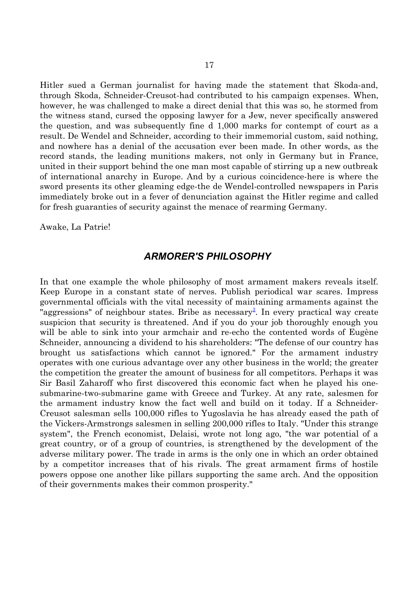Hitler sued a German journalist for having made the statement that Skoda-and, through Skoda, Schneider-Creusot-had contributed to his campaign expenses. When, however, he was challenged to make a direct denial that this was so, he stormed from the witness stand, cursed the opposing lawyer for a Jew, never specifically answered the question, and was subsequently fine d 1,000 marks for contempt of court as a result. De Wendel and Schneider, according to their immemorial custom, said nothing, and nowhere has a denial of the accusation ever been made. In other words, as the record stands, the leading munitions makers, not only in Germany but in France, united in their support behind the one man most capable of stirring up a new outbreak of international anarchy in Europe. And by a curious coincidence-here is where the sword presents its other gleaming edge-the de Wendel-controlled newspapers in Paris immediately broke out in a fever of denunciation against the Hitler regime and called for fresh guaranties of security against the menace of rearming Germany.

Awake, La Patrie!

#### <span id="page-16-0"></span>*ARMORER'S PHILOSOPHY*

In that one example the whole philosophy of most armament makers reveals itself. Keep Europe in a constant state of nerves. Publish periodical war scares. Impress governmental officials with the vital necessity of maintaining armaments against the "aggressions" of neighbour states. Bribe as necessary<sup>[2](#page-16-0)</sup>. In every practical way create suspicion that security is threatened. And if you do your job thoroughly enough you will be able to sink into your armchair and re-echo the contented words of Eugène Schneider, announcing a dividend to his shareholders: "The defense of our country has brought us satisfactions which cannot be ignored." For the armament industry operates with one curious advantage over any other business in the world; the greater the competition the greater the amount of business for all competitors. Perhaps it was Sir Basil Zaharoff who first discovered this economic fact when he played his onesubmarine-two-submarine game with Greece and Turkey. At any rate, salesmen for the armament industry know the fact well and build on it today. If a Schneider-Creusot salesman sells 100,000 rifles to Yugoslavia he has already eased the path of the Vickers-Armstrongs salesmen in selling 200,000 rifles to Italy. "Under this strange system", the French economist, Delaisi, wrote not long ago, "the war potential of a great country, or of a group of countries, is strengthened by the development of the adverse military power. The trade in arms is the only one in which an order obtained by a competitor increases that of his rivals. The great armament firms of hostile powers oppose one another like pillars supporting the same arch. And the opposition of their governments makes their common prosperity."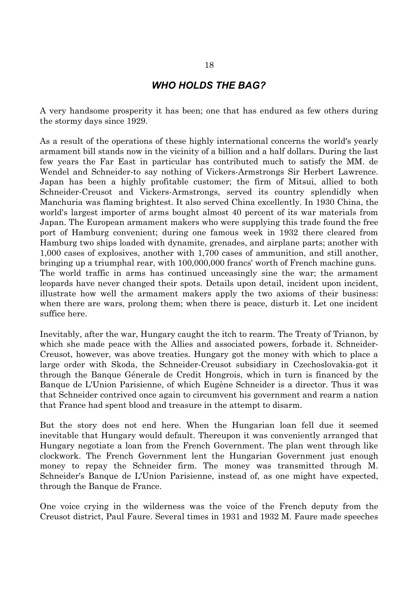#### *WHO HOLDS THE BAG?*

A very handsome prosperity it has been; one that has endured as few others during the stormy days since 1929.

As a result of the operations of these highly international concerns the world's yearly armament bill stands now in the vicinity of a billion and a half dollars. During the last few years the Far East in particular has contributed much to satisfy the MM. de Wendel and Schneider-to say nothing of Vickers-Armstrongs Sir Herbert Lawrence. Japan has been a highly profitable customer; the firm of Mitsui, allied to both Schneider-Creusot and Vickers-Armstrongs, served its country splendidly when Manchuria was flaming brightest. It also served China excellently. In 1930 China, the world's largest importer of arms bought almost 40 percent of its war materials from Japan. The European armament makers who were supplying this trade found the free port of Hamburg convenient; during one famous week in 1932 there cleared from Hamburg two ships loaded with dynamite, grenades, and airplane parts; another with 1,000 cases of explosives, another with 1,700 cases of ammunition, and still another, bringing up a triumphal rear, with 100,000,000 francs' worth of French machine guns. The world traffic in arms has continued unceasingly sine the war; the armament leopards have never changed their spots. Details upon detail, incident upon incident, illustrate how well the armament makers apply the two axioms of their business: when there are wars, prolong them; when there is peace, disturb it. Let one incident suffice here.

Inevitably, after the war, Hungary caught the itch to rearm. The Treaty of Trianon, by which she made peace with the Allies and associated powers, forbade it. Schneider-Creusot, however, was above treaties. Hungary got the money with which to place a large order with Skoda, the Schneider-Creusot subsidiary in Czechoslovakia-got it through the Banque Génerale de Credit Hongrois, which in turn is financed by the Banque de L'Union Parisienne, of which Eugène Schneider is a director. Thus it was that Schneider contrived once again to circumvent his government and rearm a nation that France had spent blood and treasure in the attempt to disarm.

But the story does not end here. When the Hungarian loan fell due it seemed inevitable that Hungary would default. Thereupon it was conveniently arranged that Hungary negotiate a loan from the French Government. The plan went through like clockwork. The French Government lent the Hungarian Government just enough money to repay the Schneider firm. The money was transmitted through M. Schneider's Banque de L'Union Parisienne, instead of, as one might have expected, through the Banque de France.

One voice crying in the wilderness was the voice of the French deputy from the Creusot district, Paul Faure. Several times in 1931 and 1932 M. Faure made speeches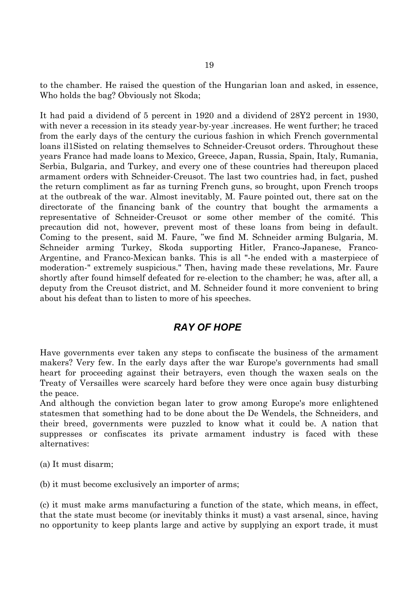to the chamber. He raised the question of the Hungarian loan and asked, in essence, Who holds the bag? Obviously not Skoda;

It had paid a dividend of 5 percent in 1920 and a dividend of 28Y2 percent in 1930, with never a recession in its steady year-by-year .increases. He went further; he traced from the early days of the century the curious fashion in which French governmental loans il1Sisted on relating themselves to Schneider-Creusot orders. Throughout these years France had made loans to Mexico, Greece, Japan, Russia, Spain, Italy, Rumania, Serbia, Bulgaria, and Turkey, and every one of these countries had thereupon placed armament orders with Schneider-Creusot. The last two countries had, in fact, pushed the return compliment as far as turning French guns, so brought, upon French troops at the outbreak of the war. Almost inevitably, M. Faure pointed out, there sat on the directorate of the financing bank of the country that bought the armaments a representative of Schneider-Creusot or some other member of the comité. This precaution did not, however, prevent most of these loans from being in default. Coming to the present, said M. Faure, "we find M. Schneider arming Bulgaria, M. Schneider arming Turkey, Skoda supporting Hitler, Franco-Japanese, Franco-Argentine, and Franco-Mexican banks. This is all "-he ended with a masterpiece of moderation-" extremely suspicious." Then, having made these revelations, Mr. Faure shortly after found himself defeated for re-election to the chamber; he was, after all, a deputy from the Creusot district, and M. Schneider found it more convenient to bring about his defeat than to listen to more of his speeches.

### *RAY OF HOPE*

Have governments ever taken any steps to confiscate the business of the armament makers? Very few. In the early days after the war Europe's governments had small heart for proceeding against their betrayers, even though the waxen seals on the Treaty of Versailles were scarcely hard before they were once again busy disturbing the peace.

And although the conviction began later to grow among Europe's more enlightened statesmen that something had to be done about the De Wendels, the Schneiders, and their breed, governments were puzzled to know what it could be. A nation that suppresses or confiscates its private armament industry is faced with these alternatives:

(a) It must disarm;

(b) it must become exclusively an importer of arms;

(c) it must make arms manufacturing a function of the state, which means, in effect, that the state must become (or inevitably thinks it must) a vast arsenal, since, having no opportunity to keep plants large and active by supplying an export trade, it must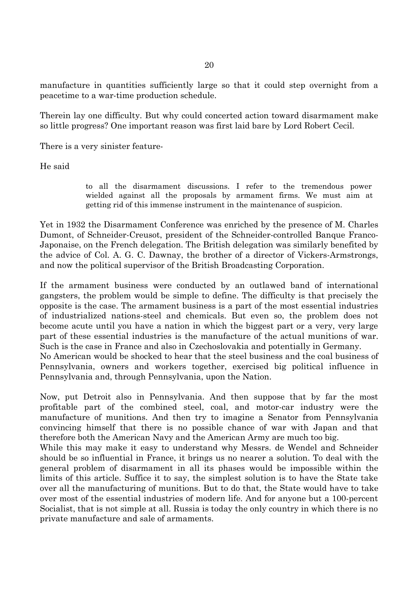manufacture in quantities sufficiently large so that it could step overnight from a peacetime to a war-time production schedule.

Therein lay one difficulty. But why could concerted action toward disarmament make so little progress? One important reason was first laid bare by Lord Robert Cecil.

There is a very sinister feature-

He said

to all the disarmament discussions. I refer to the tremendous power wielded against all the proposals by armament firms. We must aim at getting rid of this immense instrument in the maintenance of suspicion.

Yet in 1932 the Disarmament Conference was enriched by the presence of M. Charles Dumont, of Schneider-Creusot, president of the Schneider-controlled Banque Franco-Japonaise, on the French delegation. The British delegation was similarly benefited by the advice of Col. A. G. C. Dawnay, the brother of a director of Vickers-Armstrongs, and now the political supervisor of the British Broadcasting Corporation.

If the armament business were conducted by an outlawed band of international gangsters, the problem would be simple to define. The difficulty is that precisely the opposite is the case. The armament business is a part of the most essential industries of industrialized nations-steel and chemicals. But even so, the problem does not become acute until you have a nation in which the biggest part or a very, very large part of these essential industries is the manufacture of the actual munitions of war. Such is the case in France and also in Czechoslovakia and potentially in Germany.

No American would be shocked to hear that the steel business and the coal business of Pennsylvania, owners and workers together, exercised big political influence in Pennsylvania and, through Pennsylvania, upon the Nation.

Now, put Detroit also in Pennsylvania. And then suppose that by far the most profitable part of the combined steel, coal, and motor-car industry were the manufacture of munitions. And then try to imagine a Senator from Pennsylvania convincing himself that there is no possible chance of war with Japan and that therefore both the American Navy and the American Army are much too big.

While this may make it easy to understand why Messrs. de Wendel and Schneider should be so influential in France, it brings us no nearer a solution. To deal with the general problem of disarmament in all its phases would be impossible within the limits of this article. Suffice it to say, the simplest solution is to have the State take over all the manufacturing of munitions. But to do that, the State would have to take over most of the essential industries of modern life. And for anyone but a 100-percent Socialist, that is not simple at all. Russia is today the only country in which there is no private manufacture and sale of armaments.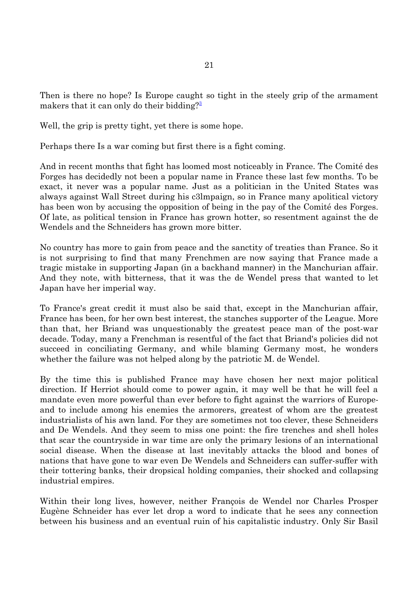<span id="page-20-0"></span>Then is there no hope? Is Europe caught so tight in the steely grip of the armament makers that it can only do their bidding?<sup>[3](#page-20-0)</sup>

Well, the grip is pretty tight, yet there is some hope.

Perhaps there Is a war coming but first there is a fight coming.

And in recent months that fight has loomed most noticeably in France. The Comité des Forges has decidedly not been a popular name in France these last few months. To be exact, it never was a popular name. Just as a politician in the United States was always against Wall Street during his c3lmpaign, so in France many apolitical victory has been won by accusing the opposition of being in the pay of the Comité des Forges. Of late, as political tension in France has grown hotter, so resentment against the de Wendels and the Schneiders has grown more bitter.

No country has more to gain from peace and the sanctity of treaties than France. So it is not surprising to find that many Frenchmen are now saying that France made a tragic mistake in supporting Japan (in a backhand manner) in the Manchurian affair. And they note, with bitterness, that it was the de Wendel press that wanted to let Japan have her imperial way.

To France's great credit it must also be said that, except in the Manchurian affair, France has been, for her own best interest, the stanches supporter of the League. More than that, her Briand was unquestionably the greatest peace man of the post-war decade. Today, many a Frenchman is resentful of the fact that Briand's policies did not succeed in conciliating Germany, and while blaming Germany most, he wonders whether the failure was not helped along by the patriotic M. de Wendel.

By the time this is published France may have chosen her next major political direction. If Herriot should come to power again, it may well be that he will feel a mandate even more powerful than ever before to fight against the warriors of Europeand to include among his enemies the armorers, greatest of whom are the greatest industrialists of his awn land. For they are sometimes not too clever, these Schneiders and De Wendels. And they seem to miss one point: the fire trenches and shell holes that scar the countryside in war time are only the primary lesions of an international social disease. When the disease at last inevitably attacks the blood and bones of nations that have gone to war even De Wendels and Schneiders can suffer-suffer with their tottering banks, their dropsical holding companies, their shocked and collapsing industrial empires.

Within their long lives, however, neither François de Wendel nor Charles Prosper Eugène Schneider has ever let drop a word to indicate that he sees any connection between his business and an eventual ruin of his capitalistic industry. Only Sir Basil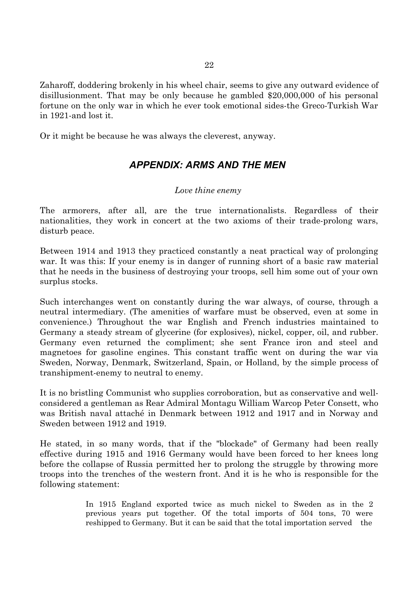Zaharoff, doddering brokenly in his wheel chair, seems to give any outward evidence of disillusionment. That may be only because he gambled \$20,000,000 of his personal fortune on the only war in which he ever took emotional sides-the Greco-Turkish War in 1921-and lost it.

Or it might be because he was always the cleverest, anyway.

## *APPENDIX: ARMS AND THE MEN*

#### *Love thine enemy*

The armorers, after all, are the true internationalists. Regardless of their nationalities, they work in concert at the two axioms of their trade-prolong wars, disturb peace.

Between 1914 and 1913 they practiced constantly a neat practical way of prolonging war. It was this: If your enemy is in danger of running short of a basic raw material that he needs in the business of destroying your troops, sell him some out of your own surplus stocks.

Such interchanges went on constantly during the war always, of course, through a neutral intermediary. (The amenities of warfare must be observed, even at some in convenience.) Throughout the war English and French industries maintained to Germany a steady stream of glycerine (for explosives), nickel, copper, oil, and rubber. Germany even returned the compliment; she sent France iron and steel and magnetoes for gasoline engines. This constant traffic went on during the war via Sweden, Norway, Denmark, Switzerland, Spain, or Holland, by the simple process of transhipment-enemy to neutral to enemy.

It is no bristling Communist who supplies corroboration, but as conservative and wellconsidered a gentleman as Rear Admiral Montagu William Warcop Peter Consett, who was British naval attaché in Denmark between 1912 and 1917 and in Norway and Sweden between 1912 and 1919.

He stated, in so many words, that if the "blockade" of Germany had been really effective during 1915 and 1916 Germany would have been forced to her knees long before the collapse of Russia permitted her to prolong the struggle by throwing more troops into the trenches of the western front. And it is he who is responsible for the following statement:

> In 1915 England exported twice as much nickel to Sweden as in the 2 previous years put together. Of the total imports of 504 tons, 70 were reshipped to Germany. But it can be said that the total importation served the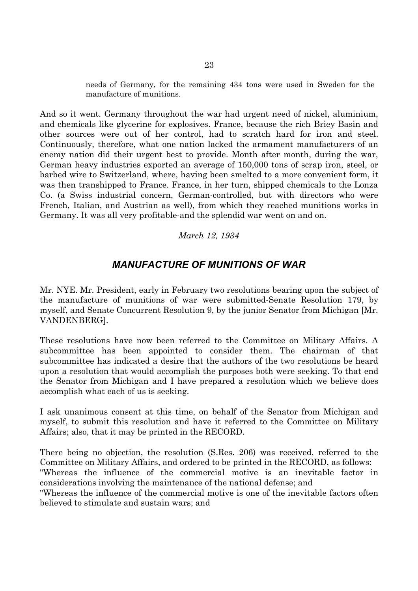needs of Germany, for the remaining 434 tons were used in Sweden for the manufacture of munitions.

And so it went. Germany throughout the war had urgent need of nickel, aluminium, and chemicals like glycerine for explosives. France, because the rich Briey Basin and other sources were out of her control, had to scratch hard for iron and steel. Continuously, therefore, what one nation lacked the armament manufacturers of an enemy nation did their urgent best to provide. Month after month, during the war, German heavy industries exported an average of 150,000 tons of scrap iron, steel, or barbed wire to Switzerland, where, having been smelted to a more convenient form, it was then transhipped to France. France, in her turn, shipped chemicals to the Lonza Co. (a Swiss industrial concern, German-controlled, but with directors who were French, Italian, and Austrian as well), from which they reached munitions works in Germany. It was all very profitable-and the splendid war went on and on.

#### *March 12, 1934*

#### *MANUFACTURE OF MUNITIONS OF WAR*

Mr. NYE. Mr. President, early in February two resolutions bearing upon the subject of the manufacture of munitions of war were submitted-Senate Resolution 179, by myself, and Senate Concurrent Resolution 9, by the junior Senator from Michigan [Mr. VANDENBERG].

These resolutions have now been referred to the Committee on Military Affairs. A subcommittee has been appointed to consider them. The chairman of that subcommittee has indicated a desire that the authors of the two resolutions be heard upon a resolution that would accomplish the purposes both were seeking. To that end the Senator from Michigan and I have prepared a resolution which we believe does accomplish what each of us is seeking.

I ask unanimous consent at this time, on behalf of the Senator from Michigan and myself, to submit this resolution and have it referred to the Committee on Military Affairs; also, that it may be printed in the RECORD.

There being no objection, the resolution (S.Res. 206) was received, referred to the Committee on Military Affairs, and ordered to be printed in the RECORD, as follows:

"Whereas the influence of the commercial motive is an inevitable factor in considerations involving the maintenance of the national defense; and

"Whereas the influence of the commercial motive is one of the inevitable factors often believed to stimulate and sustain wars; and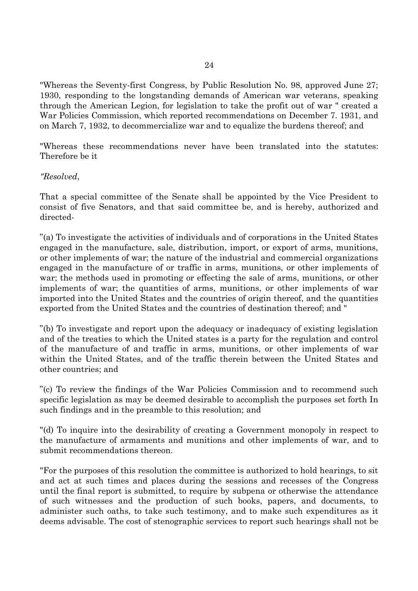"Whereas the Seventy-first Congress, by Public Resolution No. 98, approved June 27; 1930, responding to the longstanding demands of American war veterans, speaking through the American Legion, for legislation to take the profit out of war " created a War Policies Commission, which reported recommendations on December 7. 1931, and on March 7, 1932, to decommercialize war and to equalize the burdens thereof; and

"Whereas these recommendations never have been translated into the statutes: Therefore be it

#### *"Resolved*,

That a special committee of the Senate shall be appointed by the Vice President to consist of five Senators, and that said committee be, and is hereby, authorized and directed-

"(a) To investigate the activities of individuals and of corporations in the United States engaged in the manufacture, sale, distribution, import, or export of arms, munitions, or other implements of war; the nature of the industrial and commercial organizations engaged in the manufacture of or traffic in arms, munitions, or other implements of war; the methods used in promoting or effecting the sale of arms, munitions, or other implements of war; the quantities of arms, munitions, or other implements of war imported into the United States and the countries of origin thereof, and the quantities exported from the United States and the countries of destination thereof; and "

"(b) To investigate and report upon the adequacy or inadequacy of existing legislation and of the treaties to which the United states is a party for the regulation and control of the manufacture of and traffic in arms, munitions, or other implements of war within the United States, and of the traffic therein between the United States and other countries; and

"(c) To review the findings of the War Policies Commission and to recommend such specific legislation as may be deemed desirable to accomplish the purposes set forth In such findings and in the preamble to this resolution; and

"(d) To inquire into the desirability of creating a Government monopoly in respect to the manufacture of armaments and munitions and other implements of war, and to submit recommendations thereon.

"For the purposes of this resolution the committee is authorized to hold hearings, to sit and act at such times and places during the sessions and recesses of the Congress until the final report is submitted, to require by subpena or otherwise the attendance of such witnesses and the production of such books, papers, and documents, to administer such oaths, to take such testimony, and to make such expenditures as it deems advisable. The cost of stenographic services to report such hearings shall not be